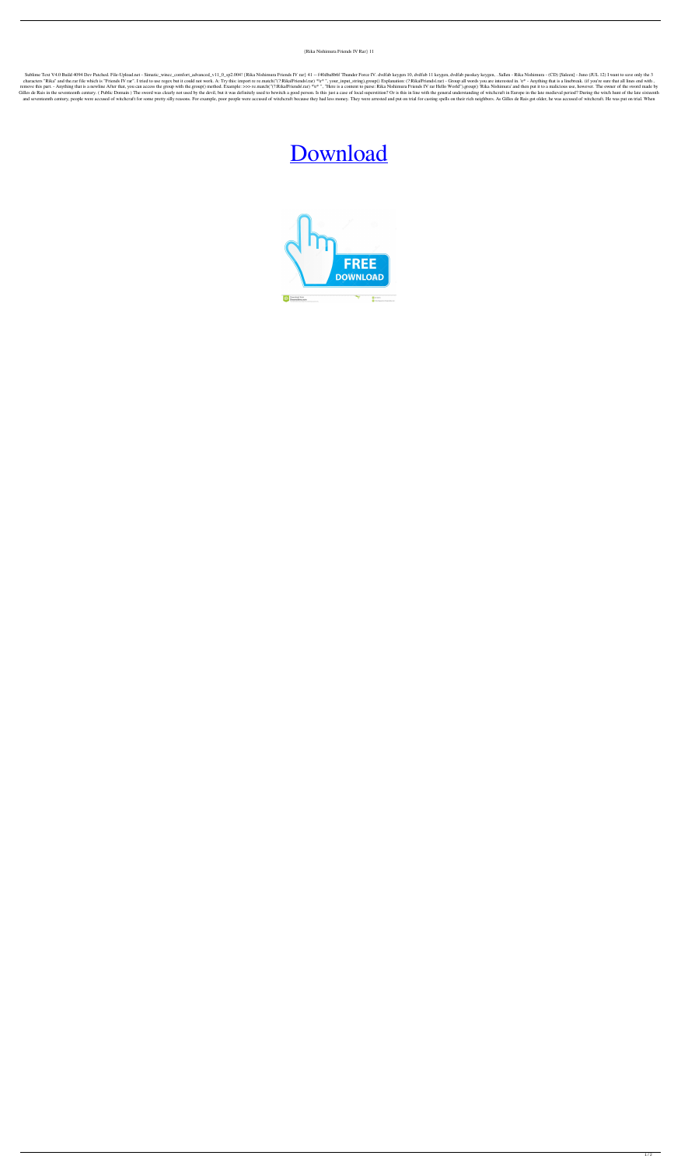## {Rika Nishimura Friends IV Rar} 11

Sublime Text V4.0 Build 4094 Dev Patched. File-Upload.net - Simatic\_wincc\_comfort\_advanced\_v11\_0\_sp2.004! {Rika Nishimura Friends IV rar} 41 -- f40dba8b6f Thunder Force IV. dvdfab keygen 10, dvdfab 11 keygen, dvdfab passke characters "Rika" and the.rar file which is "Friends IV rar". I tried to use regex but it could not work. A: Try this: import re re.match("(?:RikalFriendsl.rar) \*\r\*", your\_input\_string).group() Explanation: (?:RikalFriend remove this part. - Anything that is a newline After that, you can access the group with the group () method. Example: >>> re.match("(?:RikalFriendsl.rar) \*\r\* ", "Here is a content to parse: Rika Nishimura Friends IV rar Gilles de Rais in the seventeenth century. (Public Domain) The sword was clearly not used by the devil, but it was definitely used to bewitch a good person. Is this just a case of local superstition? Or is this in line wit and seventeenth century, people were accused of witchcraft for some pretty silly reasons. For example, poor people were accused of witchcraft because they had less money. They were arrested and put on trial for casting spe

## [Download](http://evacdir.com/cavalier/acquirements/e1Jpa2EgTmlzaGltdXJhIEZyaWVuZHMgSVYgcmFyfSAxMQe1J/ZG93bmxvYWR8Qkc2ZEhkMmZId3hOalV5TnpRd09EWTJmSHd5TlRjMGZId29UU2tnY21WaFpDMWliRzluSUZ0R1lYTjBJRWRGVGww?/earn.cores)